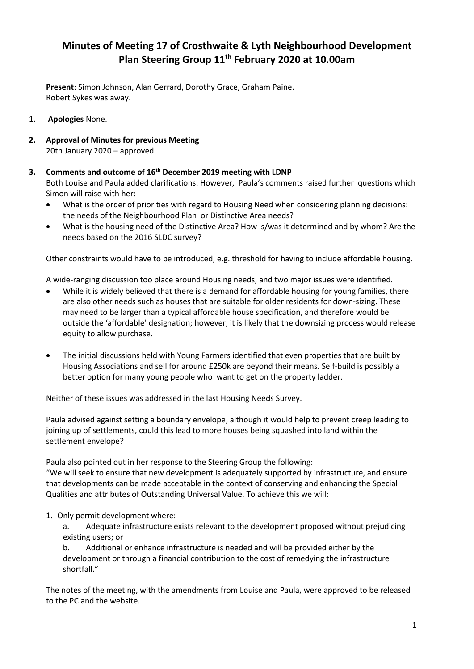# **Minutes of Meeting 17 of Crosthwaite & Lyth Neighbourhood Development Plan Steering Group 11th February 2020 at 10.00am**

**Present**: Simon Johnson, Alan Gerrard, Dorothy Grace, Graham Paine. Robert Sykes was away.

- 1. **Apologies** None.
- **2. Approval of Minutes for previous Meeting** 20th January 2020 – approved.

## **3. Comments and outcome of 16th December 2019 meeting with LDNP**

Both Louise and Paula added clarifications. However, Paula's comments raised further questions which Simon will raise with her:

- What is the order of priorities with regard to Housing Need when considering planning decisions: the needs of the Neighbourhood Plan or Distinctive Area needs?
- What is the housing need of the Distinctive Area? How is/was it determined and by whom? Are the needs based on the 2016 SLDC survey?

Other constraints would have to be introduced, e.g. threshold for having to include affordable housing.

A wide-ranging discussion too place around Housing needs, and two major issues were identified.

- While it is widely believed that there is a demand for affordable housing for young families, there are also other needs such as houses that are suitable for older residents for down-sizing. These may need to be larger than a typical affordable house specification, and therefore would be outside the 'affordable' designation; however, it is likely that the downsizing process would release equity to allow purchase.
- The initial discussions held with Young Farmers identified that even properties that are built by Housing Associations and sell for around £250k are beyond their means. Self-build is possibly a better option for many young people who want to get on the property ladder.

Neither of these issues was addressed in the last Housing Needs Survey.

Paula advised against setting a boundary envelope, although it would help to prevent creep leading to joining up of settlements, could this lead to more houses being squashed into land within the settlement envelope?

Paula also pointed out in her response to the Steering Group the following:

"We will seek to ensure that new development is adequately supported by infrastructure, and ensure that developments can be made acceptable in the context of conserving and enhancing the Special Qualities and attributes of Outstanding Universal Value. To achieve this we will:

## 1. Only permit development where:

a. Adequate infrastructure exists relevant to the development proposed without prejudicing existing users; or

b. Additional or enhance infrastructure is needed and will be provided either by the development or through a financial contribution to the cost of remedying the infrastructure shortfall."

The notes of the meeting, with the amendments from Louise and Paula, were approved to be released to the PC and the website.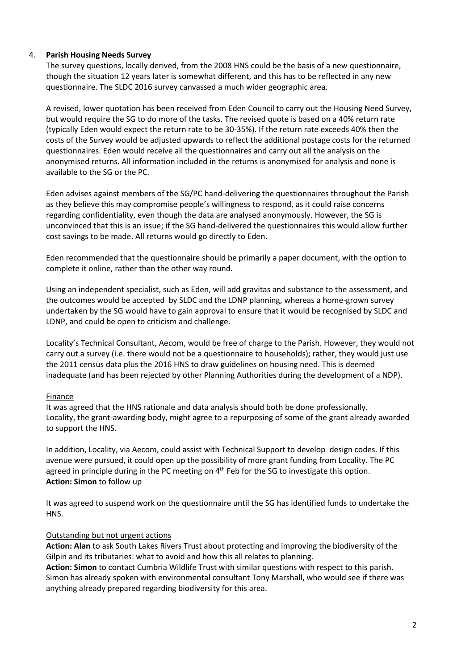#### 4. **Parish Housing Needs Survey**

The survey questions, locally derived, from the 2008 HNS could be the basis of a new questionnaire, though the situation 12 years later is somewhat different, and this has to be reflected in any new questionnaire. The SLDC 2016 survey canvassed a much wider geographic area.

A revised, lower quotation has been received from Eden Council to carry out the Housing Need Survey, but would require the SG to do more of the tasks. The revised quote is based on a 40% return rate (typically Eden would expect the return rate to be 30-35%). If the return rate exceeds 40% then the costs of the Survey would be adjusted upwards to reflect the additional postage costs for the returned questionnaires. Eden would receive all the questionnaires and carry out all the analysis on the anonymised returns. All information included in the returns is anonymised for analysis and none is available to the SG or the PC.

Eden advises against members of the SG/PC hand-delivering the questionnaires throughout the Parish as they believe this may compromise people's willingness to respond, as it could raise concerns regarding confidentiality, even though the data are analysed anonymously. However, the SG is unconvinced that this is an issue; if the SG hand-delivered the questionnaires this would allow further cost savings to be made. All returns would go directly to Eden.

Eden recommended that the questionnaire should be primarily a paper document, with the option to complete it online, rather than the other way round.

Using an independent specialist, such as Eden, will add gravitas and substance to the assessment, and the outcomes would be accepted by SLDC and the LDNP planning, whereas a home-grown survey undertaken by the SG would have to gain approval to ensure that it would be recognised by SLDC and LDNP, and could be open to criticism and challenge.

Locality's Technical Consultant, Aecom, would be free of charge to the Parish. However, they would not carry out a survey (i.e. there would not be a questionnaire to households); rather, they would just use the 2011 census data plus the 2016 HNS to draw guidelines on housing need. This is deemed inadequate (and has been rejected by other Planning Authorities during the development of a NDP).

#### Finance

It was agreed that the HNS rationale and data analysis should both be done professionally. Locality, the grant-awarding body, might agree to a repurposing of some of the grant already awarded to support the HNS.

In addition, Locality, via Aecom, could assist with Technical Support to develop design codes. If this avenue were pursued, it could open up the possibility of more grant funding from Locality. The PC agreed in principle during in the PC meeting on 4<sup>th</sup> Feb for the SG to investigate this option. **Action: Simon** to follow up

It was agreed to suspend work on the questionnaire until the SG has identified funds to undertake the HNS.

#### Outstanding but not urgent actions

**Action: Alan** to ask South Lakes Rivers Trust about protecting and improving the biodiversity of the Gilpin and its tributaries: what to avoid and how this all relates to planning.

**Action: Simon** to contact Cumbria Wildlife Trust with similar questions with respect to this parish. Simon has already spoken with environmental consultant Tony Marshall, who would see if there was anything already prepared regarding biodiversity for this area.